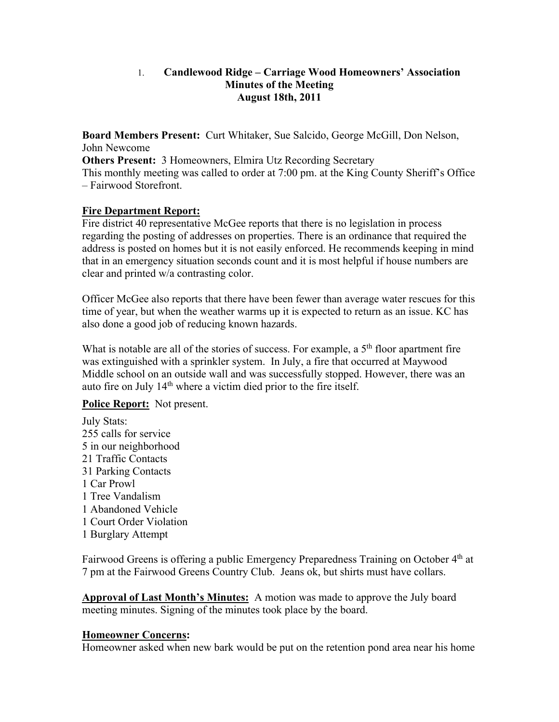# 1. **Candlewood Ridge – Carriage Wood Homeowners' Association Minutes of the Meeting August 18th, 2011**

**Board Members Present:** Curt Whitaker, Sue Salcido, George McGill, Don Nelson, John Newcome

**Others Present:** 3 Homeowners, Elmira Utz Recording Secretary This monthly meeting was called to order at 7:00 pm. at the King County Sheriff's Office – Fairwood Storefront.

### **Fire Department Report:**

Fire district 40 representative McGee reports that there is no legislation in process regarding the posting of addresses on properties. There is an ordinance that required the address is posted on homes but it is not easily enforced. He recommends keeping in mind that in an emergency situation seconds count and it is most helpful if house numbers are clear and printed w/a contrasting color.

Officer McGee also reports that there have been fewer than average water rescues for this time of year, but when the weather warms up it is expected to return as an issue. KC has also done a good job of reducing known hazards.

What is notable are all of the stories of success. For example, a  $5<sup>th</sup>$  floor apartment fire was extinguished with a sprinkler system. In July, a fire that occurred at Maywood Middle school on an outside wall and was successfully stopped. However, there was an auto fire on July 14th where a victim died prior to the fire itself.

# **Police Report:** Not present.

July Stats: 255 calls for service 5 in our neighborhood 21 Traffic Contacts 31 Parking Contacts 1 Car Prowl 1 Tree Vandalism 1 Abandoned Vehicle 1 Court Order Violation 1 Burglary Attempt

Fairwood Greens is offering a public Emergency Preparedness Training on October 4<sup>th</sup> at 7 pm at the Fairwood Greens Country Club. Jeans ok, but shirts must have collars.

**Approval of Last Month's Minutes:** A motion was made to approve the July board meeting minutes. Signing of the minutes took place by the board.

#### **Homeowner Concerns:**

Homeowner asked when new bark would be put on the retention pond area near his home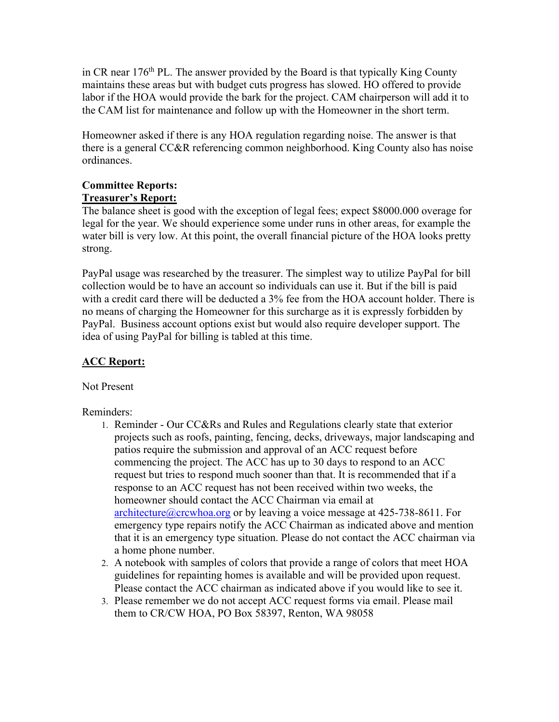in CR near  $176<sup>th</sup>$  PL. The answer provided by the Board is that typically King County maintains these areas but with budget cuts progress has slowed. HO offered to provide labor if the HOA would provide the bark for the project. CAM chairperson will add it to the CAM list for maintenance and follow up with the Homeowner in the short term.

Homeowner asked if there is any HOA regulation regarding noise. The answer is that there is a general CC&R referencing common neighborhood. King County also has noise ordinances.

# **Committee Reports: Treasurer's Report:**

The balance sheet is good with the exception of legal fees; expect \$8000.000 overage for legal for the year. We should experience some under runs in other areas, for example the water bill is very low. At this point, the overall financial picture of the HOA looks pretty strong.

PayPal usage was researched by the treasurer. The simplest way to utilize PayPal for bill collection would be to have an account so individuals can use it. But if the bill is paid with a credit card there will be deducted a 3% fee from the HOA account holder. There is no means of charging the Homeowner for this surcharge as it is expressly forbidden by PayPal. Business account options exist but would also require developer support. The idea of using PayPal for billing is tabled at this time.

# **ACC Report:**

Not Present

# Reminders:

- 1. Reminder Our CC&Rs and Rules and Regulations clearly state that exterior projects such as roofs, painting, fencing, decks, driveways, major landscaping and patios require the submission and approval of an ACC request before commencing the project. The ACC has up to 30 days to respond to an ACC request but tries to respond much sooner than that. It is recommended that if a response to an ACC request has not been received within two weeks, the homeowner should contact the ACC Chairman via email at architecture@crcwhoa.org or by leaving a voice message at  $425-738-8611$ . For emergency type repairs notify the ACC Chairman as indicated above and mention that it is an emergency type situation. Please do not contact the ACC chairman via a home phone number.
- 2. A notebook with samples of colors that provide a range of colors that meet HOA guidelines for repainting homes is available and will be provided upon request. Please contact the ACC chairman as indicated above if you would like to see it.
- 3. Please remember we do not accept ACC request forms via email. Please mail them to CR/CW HOA, PO Box 58397, Renton, WA 98058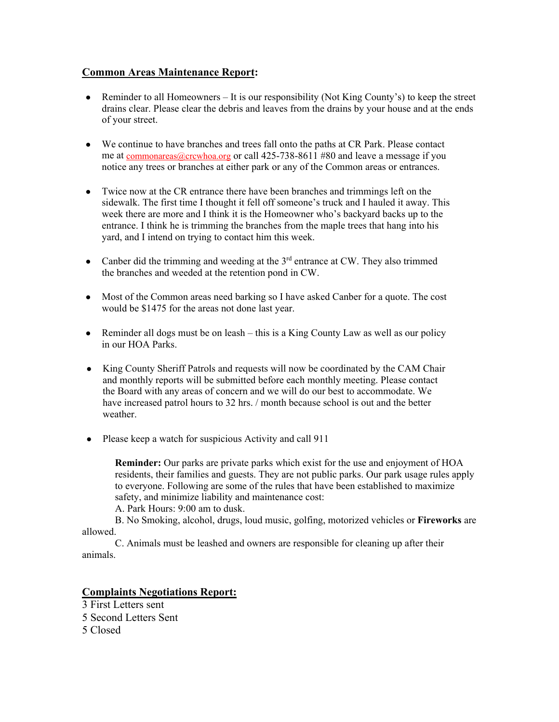### **Common Areas Maintenance Report:**

- Reminder to all Homeowners It is our responsibility (Not King County's) to keep the street drains clear. Please clear the debris and leaves from the drains by your house and at the ends of your street.
- We continue to have branches and trees fall onto the paths at CR Park. Please contact me at <u>commonareas@crcwhoa.org</u> or call 425-738-8611 #80 and leave a message if you notice any trees or branches at either park or any of the Common areas or entrances.
- Twice now at the CR entrance there have been branches and trimmings left on the sidewalk. The first time I thought it fell off someone's truck and I hauled it away. This week there are more and I think it is the Homeowner who's backyard backs up to the entrance. I think he is trimming the branches from the maple trees that hang into his yard, and I intend on trying to contact him this week.
- Canber did the trimming and weeding at the  $3<sup>rd</sup>$  entrance at CW. They also trimmed the branches and weeded at the retention pond in CW.
- Most of the Common areas need barking so I have asked Canber for a quote. The cost would be \$1475 for the areas not done last year.
- $\bullet$  Reminder all dogs must be on leash this is a King County Law as well as our policy in our HOA Parks.
- King County Sheriff Patrols and requests will now be coordinated by the CAM Chair and monthly reports will be submitted before each monthly meeting. Please contact the Board with any areas of concern and we will do our best to accommodate. We have increased patrol hours to 32 hrs. / month because school is out and the better weather.
- Please keep a watch for suspicious Activity and call 911

**Reminder:** Our parks are private parks which exist for the use and enjoyment of HOA residents, their families and guests. They are not public parks. Our park usage rules apply to everyone. Following are some of the rules that have been established to maximize safety, and minimize liability and maintenance cost:

A. Park Hours: 9:00 am to dusk.

B. No Smoking, alcohol, drugs, loud music, golfing, motorized vehicles or **Fireworks** are allowed.

C. Animals must be leashed and owners are responsible for cleaning up after their animals.

#### **Complaints Negotiations Report:**

3 First Letters sent 5 Second Letters Sent 5 Closed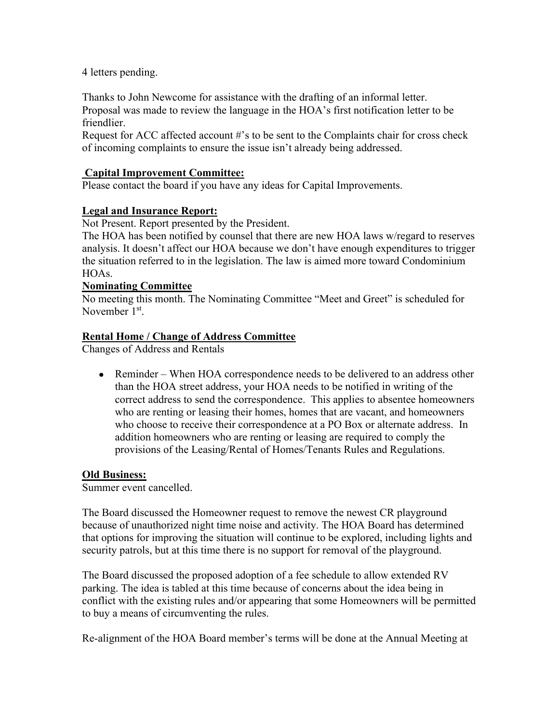4 letters pending.

Thanks to John Newcome for assistance with the drafting of an informal letter. Proposal was made to review the language in the HOA's first notification letter to be friendlier.

Request for ACC affected account #'s to be sent to the Complaints chair for cross check of incoming complaints to ensure the issue isn't already being addressed.

# **Capital Improvement Committee:**

Please contact the board if you have any ideas for Capital Improvements.

### **Legal and Insurance Report:**

Not Present. Report presented by the President.

The HOA has been notified by counsel that there are new HOA laws w/regard to reserves analysis. It doesn't affect our HOA because we don't have enough expenditures to trigger the situation referred to in the legislation. The law is aimed more toward Condominium HOAs.

#### **Nominating Committee**

No meeting this month. The Nominating Committee "Meet and Greet" is scheduled for November 1<sup>st</sup>.

#### **Rental Home / Change of Address Committee**

Changes of Address and Rentals

• Reminder – When HOA correspondence needs to be delivered to an address other than the HOA street address, your HOA needs to be notified in writing of the correct address to send the correspondence. This applies to absentee homeowners who are renting or leasing their homes, homes that are vacant, and homeowners who choose to receive their correspondence at a PO Box or alternate address. In addition homeowners who are renting or leasing are required to comply the provisions of the Leasing/Rental of Homes/Tenants Rules and Regulations.

#### **Old Business:**

Summer event cancelled.

The Board discussed the Homeowner request to remove the newest CR playground because of unauthorized night time noise and activity. The HOA Board has determined that options for improving the situation will continue to be explored, including lights and security patrols, but at this time there is no support for removal of the playground.

The Board discussed the proposed adoption of a fee schedule to allow extended RV parking. The idea is tabled at this time because of concerns about the idea being in conflict with the existing rules and/or appearing that some Homeowners will be permitted to buy a means of circumventing the rules.

Re-alignment of the HOA Board member's terms will be done at the Annual Meeting at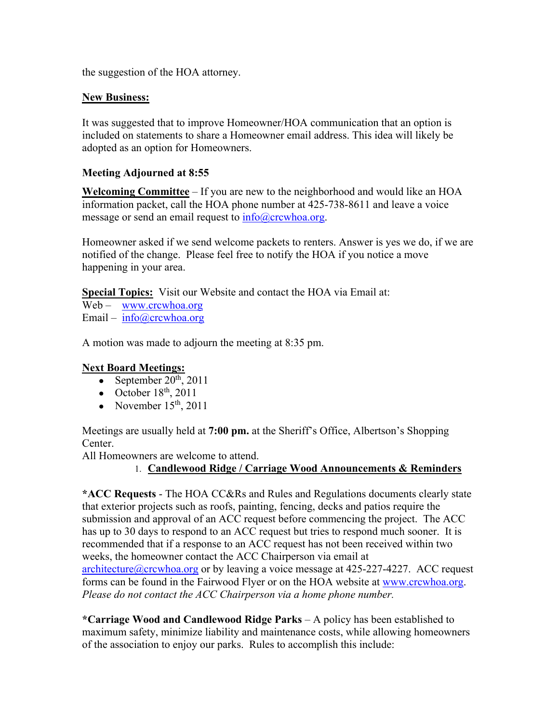the suggestion of the HOA attorney.

# **New Business:**

It was suggested that to improve Homeowner/HOA communication that an option is included on statements to share a Homeowner email address. This idea will likely be adopted as an option for Homeowners.

# **Meeting Adjourned at 8:55**

**Welcoming Committee** – If you are new to the neighborhood and would like an HOA information packet, call the HOA phone number at 425-738-8611 and leave a voice message or send an email request to info@crcwhoa.org.

Homeowner asked if we send welcome packets to renters. Answer is yes we do, if we are notified of the change. Please feel free to notify the HOA if you notice a move happening in your area.

**Special Topics:** Visit our Website and contact the HOA via Email at:

Web – www.crcwhoa.org Email – info@crcwhoa.org

A motion was made to adjourn the meeting at 8:35 pm.

# **Next Board Meetings:**

- September  $20^{th}$ ,  $2011$
- October  $18<sup>th</sup>$ , 2011
- November  $15<sup>th</sup>$ , 2011

Meetings are usually held at **7:00 pm.** at the Sheriff's Office, Albertson's Shopping Center.

All Homeowners are welcome to attend.

# 1. **Candlewood Ridge / Carriage Wood Announcements & Reminders**

**\*ACC Requests** - The HOA CC&Rs and Rules and Regulations documents clearly state that exterior projects such as roofs, painting, fencing, decks and patios require the submission and approval of an ACC request before commencing the project. The ACC has up to 30 days to respond to an ACC request but tries to respond much sooner. It is recommended that if a response to an ACC request has not been received within two weeks, the homeowner contact the ACC Chairperson via email at  $architecture@crcwhoa.org$  or by leaving a voice message at 425-227-4227. ACC request forms can be found in the Fairwood Flyer or on the HOA website at www.crcwhoa.org. *Please do not contact the ACC Chairperson via a home phone number.*

**\*Carriage Wood and Candlewood Ridge Parks** – A policy has been established to maximum safety, minimize liability and maintenance costs, while allowing homeowners of the association to enjoy our parks. Rules to accomplish this include: